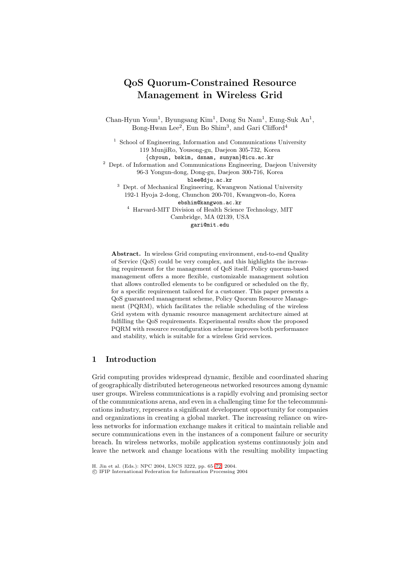# **QoS Quorum-Constrained Resource Management in Wireless Grid**

Chan-Hyun Youn<sup>1</sup>, Byungsang Kim<sup>1</sup>, Dong Su Nam<sup>1</sup>, Eung-Suk An<sup>1</sup>, Bong-Hwan Lee2, Eun Bo Shim3, and Gari Clifford<sup>4</sup>

<sup>1</sup> School of Engineering, Information and Communications University 119 MunjiRo, Yousong-gu, Daejeon 305-732, Korea *{*chyoun, bskim, dsnam, sunyan*}*@icu.ac.kr <sup>2</sup> Dept. of Information and Communications Engineering, Daejeon University 96-3 Yongun-dong, Dong-gu, Daejeon 300-716, Korea blee@dju.ac.kr <sup>3</sup> Dept. of Mechanical Engineering, Kwangwon National University 192-1 Hyoja 2-dong, Chunchon 200-701, Kwangwon-do, Korea ebshim@kangwon.ac.kr  $^4\,$  Harvard-MIT Division of Health Science Technology, MIT Cambridge, MA 02139, USA

gari@mit.edu

**Abstract.** In wireless Grid computing environment, end-to-end Quality of Service (QoS) could be very complex, and this highlights the increasing requirement for the management of QoS itself. Policy quorum-based management offers a more flexible, customizable management solution that allows controlled elements to be configured or scheduled on the fly, for a specific requirement tailored for a customer. This paper presents a QoS guaranteed management scheme, Policy Quorum Resource Management (PQRM), which facilitates the reliable scheduling of the wireless Grid system with dynamic resource management architecture aimed at fulfilling the QoS requirements. Experimental results show the proposed PQRM with resource reconfiguration scheme improves both performance and stability, which is suitable for a wireless Grid services.

## **1 Introduction**

Grid computing provides widespread dynamic, flexible and coordinated sharing of geographically distributed heterogeneous networked resources among dynamic user groups. Wireless communications is a rapidly evolving and promising sector of the communications arena, and even in a challenging time for the telecommunications industry, represents a significant development opportunity for companies and organizations in creating a global market. The increasing reliance on wireless networks for information exchange makes it critical to maintain reliable and secure communications even in the instances of a component failure or security breach. In wireless networks, mobile application systems continuously join and leave the network and change locations with the resulting mobility impacting

H. Jin et al. (Eds.): NPC 2004, LNCS 3222, pp. 65[–72,](#page-6-0) 2004. c IFIP International Federation for Information Processing 2004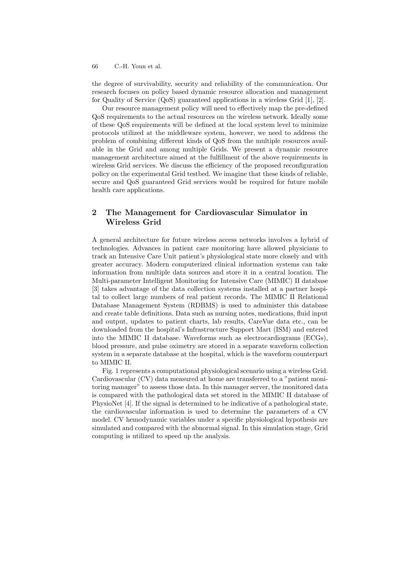66 C.-H. Youn et al.

the degree of survivability, security and reliability of the communication. Our research focuses on policy based dynamic resource allocation and management for Quality of Service (QoS) guaranteed applications in a wireless Grid [1], [2].

Our resource management policy will need to effectively map the pre-defined QoS requirements to the actual resources on the wireless network. Ideally some of these QoS requirements will be defined at the local system level to minimize protocols utilized at the middleware system, however, we need to address the problem of combining different kinds of QoS from the multiple resources available in the Grid and among multiple Grids. We present a dynamic resource management architecture aimed at the fulfillment of the above requirements in wireless Grid services. We discuss the efficiency of the proposed reconfiguration policy on the experimental Grid testbed. We imagine that these kinds of reliable, secure and QoS guaranteed Grid services would be required for future mobile health care applications.

# **2 The Management for Cardiovascular Simulator in Wireless Grid**

A general architecture for future wireless access networks involves a hybrid of technologies. Advances in patient care monitoring have allowed physicians to track an Intensive Care Unit patient's physiological state more closely and with greater accuracy. Modern computerized clinical information systems can take information from multiple data sources and store it in a central location. The Multi-parameter Intelligent Monitoring for Intensive Care (MIMIC) II database [3] takes advantage of the data collection systems installed at a partner hospital to collect large numbers of real patient records. The MIMIC II Relational Database Management System (RDBMS) is used to administer this database and create table definitions. Data such as nursing notes, medications, fluid input and output, updates to patient charts, lab results, CareVue data etc., can be downloaded from the hospital's Infrastructure Support Mart (ISM) and entered into the MIMIC II database. Waveforms such as electrocardiograms (ECGs), blood pressure, and pulse oximetry are stored in a separate waveform collection system in a separate database at the hospital, which is the waveform counterpart to MIMIC II.

Fig. 1 represents a computational physiological scenario using a wireless Grid. Cardiovascular (CV) data measured at home are transferred to a "patient monitoring manager" to assess those data. In this manager server, the monitored data is compared with the pathological data set stored in the MIMIC II database of PhysioNet [4]. If the signal is determined to be indicative of a pathological state, the cardiovascular information is used to determine the parameters of a CV model. CV hemodynamic variables under a specific physiological hypothesis are simulated and compared with the abnormal signal. In this simulation stage, Grid computing is utilized to speed up the analysis.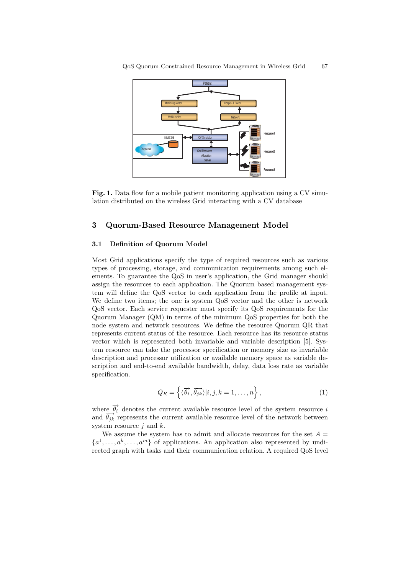

Fig. 1. Data flow for a mobile patient monitoring application using a CV simulation distributed on the wireless Grid interacting with a CV database

## **3 Quorum-Based Resource Management Model**

### **3.1 Definition of Quorum Model**

Most Grid applications specify the type of required resources such as various types of processing, storage, and communication requirements among such elements. To guarantee the QoS in user's application, the Grid manager should assign the resources to each application. The Quorum based management system will define the QoS vector to each application from the profile at input. We define two items; the one is system QoS vector and the other is network QoS vector. Each service requester must specify its QoS requirements for the Quorum Manager (QM) in terms of the minimum QoS properties for both the node system and network resources. We define the resource Quorum QR that represents current status of the resource. Each resource has its resource status vector which is represented both invariable and variable description [5]. System resource can take the processor specification or memory size as invariable description and processor utilization or available memory space as variable description and end-to-end available bandwidth, delay, data loss rate as variable specification.

$$
Q_R = \left\{ \langle \overrightarrow{\theta_i}, \overrightarrow{\theta_{jk}} \rangle | i, j, k = 1, \dots, n \right\},\tag{1}
$$

where  $\overrightarrow{\theta_i}$  denotes the current available resource level of the system resource *i* and  $\overrightarrow{\theta_{jk}}$  represents the current available resource level of the network between system resource  $j$  and  $k$ .

We assume the system has to admit and allocate resources for the set  $A =$  ${a^1,\ldots,a^k,\ldots,a^m}$  of applications. An application also represented by undirected graph with tasks and their communication relation. A required QoS level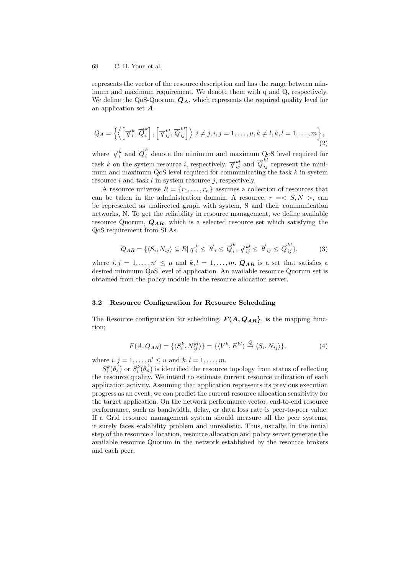68 C.-H. Youn et al.

represents the vector of the resource description and has the range between minimum and maximum requirement. We denote them with q and Q, respectively. We define the QoS-Quorum, *QA*, which represents the required quality level for an application set *A*.

$$
Q_A = \left\{ \left\langle \left[ \overrightarrow{q}_i^k, \overrightarrow{Q}_i^k \right], \left[ \overrightarrow{q}_{ij}^{kl}, \overrightarrow{Q}_{ij}^{kl} \right] \right\rangle | i \neq j, i, j = 1, \dots, \mu, k \neq l, k, l = 1, \dots, m \right\},\tag{2}
$$

where  $\overrightarrow{q}_i^k$  and  $\overrightarrow{Q}_i^k$  denote the minimum and maximum QoS level required for task k on the system resource i, respectively.  $\overline{q}^{kl}_{ij}$  and  $\overline{Q}^{kl}_{ij}$  represent the minimum and maximum  $QoS$  level required for communicating the task  $k$  in system resource  $i$  and task  $l$  in system resource  $j$ , respectively.

A resource universe  $R = \{r_1, \ldots, r_n\}$  assumes a collection of resources that can be taken in the administration domain. A resource,  $r = \langle S, N \rangle$ , can be represented as undirected graph with system, S and their communication networks, N. To get the reliability in resource management, we define available resource Quorum, *QAR*, which is a selected resource set which satisfying the QoS requirement from SLAs.

$$
Q_{AR} = \{ \langle S_i, N_{ij} \rangle \subseteq R | \overrightarrow{q}_i^k \leq \overrightarrow{\theta}_i \leq \overrightarrow{Q}_i^k, \overrightarrow{q}_{ij}^{kl} \leq \overrightarrow{\theta}_{ij} \leq \overrightarrow{Q}_{ij}^{kl} \},
$$
(3)

where  $i, j = 1, \ldots, n' \leq \mu$  and  $k, l = 1, \ldots, m$ .  $Q_{AR}$  is a set that satisfies a desired minimum QoS level of application. An available resource Quorum set is obtained from the policy module in the resource allocation server.

#### **3.2 Resource Configuration for Resource Scheduling**

The Resource configuration for scheduling,  $F(A, Q_{AR})$ , is the mapping function;

$$
F(A, Q_{AR}) = \{ \langle S_i^k, N_{ij}^{kl} \rangle \} = \{ \langle V^k, E^{kl} \rangle \stackrel{Q}{\rightarrow} \langle S_i, N_{ij} \rangle \},\tag{4}
$$

where  $i, j = 1, \ldots, n' \leq u$  and  $k, l = 1, \ldots, m$ .

 $S_i^k(\overrightarrow{\theta_s})$  or  $S_i^k(\overrightarrow{\theta_n})$  is identified the resource topology from status of reflecting the resource quality. We intend to estimate current resource utilization of each application activity. Assuming that application represents its previous execution progress as an event, we can predict the current resource allocation sensitivity for the target application. On the network performance vector, end-to-end resource performance, such as bandwidth, delay, or data loss rate is peer-to-peer value. If a Grid resource management system should measure all the peer systems, it surely faces scalability problem and unrealistic. Thus, usually, in the initial step of the resource allocation, resource allocation and policy server generate the available resource Quorum in the network established by the resource brokers and each peer.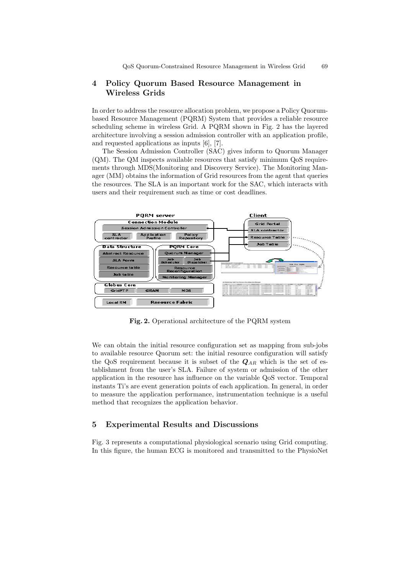# **4 Policy Quorum Based Resource Management in Wireless Grids**

In order to address the resource allocation problem, we propose a Policy Quorumbased Resource Management (PQRM) System that provides a reliable resource scheduling scheme in wireless Grid. A PQRM shown in Fig. 2 has the layered architecture involving a session admission controller with an application profile, and requested applications as inputs [6], [7].

The Session Admission Controller (SAC) gives inform to Quorum Manager (QM). The QM inspects available resources that satisfy minimum QoS requirements through MDS(Monitoring and Discovery Service). The Monitoring Manager (MM) obtains the information of Grid resources from the agent that queries the resources. The SLA is an important work for the SAC, which interacts with users and their requirement such as time or cost deadlines.



**Fig. 2.** Operational architecture of the PQRM system

We can obtain the initial resource configuration set as mapping from sub-jobs to available resource Quorum set: the initial resource configuration will satisfy the QoS requirement because it is subset of the *QAR* which is the set of establishment from the user's SLA. Failure of system or admission of the other application in the resource has influence on the variable QoS vector. Temporal instants Ti's are event generation points of each application. In general, in order to measure the application performance, instrumentation technique is a useful method that recognizes the application behavior.

# **5 Experimental Results and Discussions**

Fig. 3 represents a computational physiological scenario using Grid computing. In this figure, the human ECG is monitored and transmitted to the PhysioNet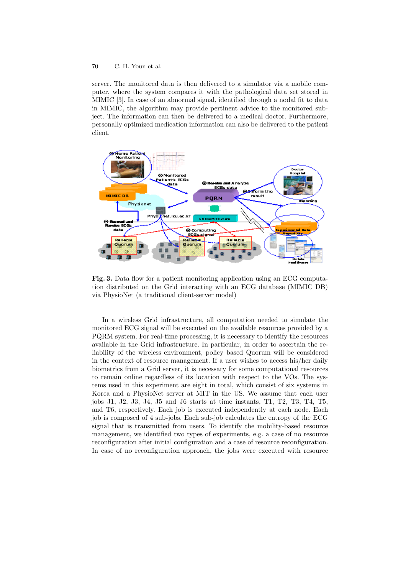70 C.-H. Youn et al.

server. The monitored data is then delivered to a simulator via a mobile computer, where the system compares it with the pathological data set stored in MIMIC [3]. In case of an abnormal signal, identified through a nodal fit to data in MIMIC, the algorithm may provide pertinent advice to the monitored subject. The information can then be delivered to a medical doctor. Furthermore, personally optimized medication information can also be delivered to the patient client.



**Fig. 3.** Data flow for a patient monitoring application using an ECG computation distributed on the Grid interacting with an ECG database (MIMIC DB) via PhysioNet (a traditional client-server model)

In a wireless Grid infrastructure, all computation needed to simulate the monitored ECG signal will be executed on the available resources provided by a PQRM system. For real-time processing, it is necessary to identify the resources available in the Grid infrastructure. In particular, in order to ascertain the reliability of the wireless environment, policy based Quorum will be considered in the context of resource management. If a user wishes to access his/her daily biometrics from a Grid server, it is necessary for some computational resources to remain online regardless of its location with respect to the VOs. The systems used in this experiment are eight in total, which consist of six systems in Korea and a PhysioNet server at MIT in the US. We assume that each user jobs J1, J2, J3, J4, J5 and J6 starts at time instants, T1, T2, T3, T4, T5, and T6, respectively. Each job is executed independently at each node. Each job is composed of 4 sub-jobs. Each sub-job calculates the entropy of the ECG signal that is transmitted from users. To identify the mobility-based resource management, we identified two types of experiments, e.g. a case of no resource reconfiguration after initial configuration and a case of resource reconfiguration. In case of no reconfiguration approach, the jobs were executed with resource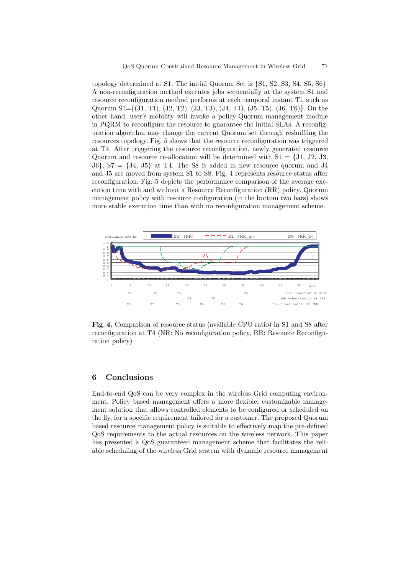<span id="page-6-0"></span>topology determined at S1. The initial Quorum Set is {S1, S2, S3, S4, S5, S6}. A non-reconfiguration method executes jobs sequentially at the system S1 and resource reconfiguration method performs at each temporal instant Ti, such as Quorum S1={(J1, T1), (J2, T2), (J3, T3), (J4, T4), (J5, T5), (J6, T6)}. On the other hand, user's mobility will invoke a policy-Quorum management module in PQRM to reconfigure the resource to guarantee the initial SLAs. A reconfiguration algorithm may change the current Quorum set through reshuffling the resources topology. Fig. 5 shows that the resource reconfiguration was triggered at T4. After triggering the resource reconfiguration, newly generated resource Quorum and resource re-allocation will be determined with  $S1 = \{J1, J2, J3,$  $J6$ ,  $S7 = \{J4, J5\}$  at T4. The S8 is added in new resource quorum and J4 and J5 are moved from system S1 to S8. Fig. 4 represents resource status after reconfiguration. Fig. 5 depicts the performance comparison of the average execution time with and without a Resource Reconfiguration (RR) policy. Quorum management policy with resource configuration (in the bottom two bars) shows more stable execution time than with no reconfiguration management scheme.



**Fig. 4.** Comparison of resource status (available CPU ratio) in S1 and S8 after reconfiguration at T4 (NR: No reconfiguration policy, RR: Resource Reconfiguration policy)

# **6 Conclusions**

End-to-end QoS can be very complex in the wireless Grid computing environment. Policy based management offers a more flexible, customizable management solution that allows controlled elements to be configured or scheduled on the fly, for a specific requirement tailored for a customer. The proposed Quorum based resource management policy is suitable to effectively map the pre-defined QoS requirements to the actual resources on the wireless network. This paper has presented a QoS guaranteed management scheme that facilitates the reliable scheduling of the wireless Grid system with dynamic resource management